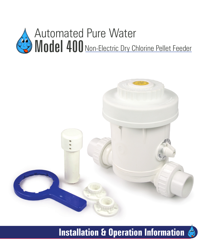



# **Installation & Operation Information**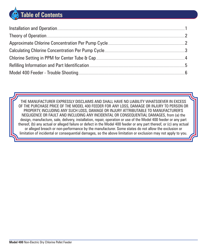# **Table of Contents**

| Installation and Operation |  |
|----------------------------|--|
| Theory of Operation        |  |
|                            |  |
|                            |  |
|                            |  |
|                            |  |
|                            |  |

THE MANUFACTURER EXPRESSLY DISCLAIMS AND SHALL HAVE NO LIABILITY WHATSOEVER IN EXCESS OF THE PURCHASE PRICE OF THE MODEL 400 FEEDER FOR ANY LOSS, DAMAGE OR INJURY TO PERSON OR PROPERTY, INCLUDING ANY SUCH LOSS, DAMAGE OR INJURY ATTRIBUTABLE TO MANUFACTURER'S NEGLIGENCE OR FAULT AND INCLUDING ANY INCIDENTAL OR CONSEQUENTIAL DAMAGES, from (a) the design, manufacture, sale, delivery, installation, repair, operation or use of the Model 400 feeder or any part thereof, (b) any actual or alleged failure or defect in the Model 400 feeder or any part thereof, or (c) any actual or alleged breach or non-performance by the manufacturer. Some states do not allow the exclusion or limitation of incidental or consequential damages, so the above limitation or exclusion may not apply to you.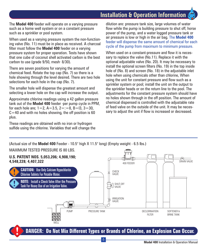**Installation & Operation Information**

The **Model 400** feeder will operate on a varying pressure such as a home well system or on a constant pressure such as a sprinkler or pool system.

When used as a varying pressure system the non-functioning valve (No. 11) must be in place as received. A charcoal filter must follow the **Model 400** feeder on a varying pressure system for proper operation. Tests have shown that one cube of coconut shell activated carbon is the best carbon to use (grade 9/50, mesh 8/30).

There are seven positions for varying the amount of chemical feed. Rotate the top cap (No. 7) so there is a hole showing through the level desired. There are two hole selections for each hole in the cap (No. 7).

The smaller hole will dispense the greatest amount and selecting a lower hole on the cap will increase the output.

Approximate chlorine readings using a 42 gallon pressure tank out of the **Model 400** feeder ·per pump cycle in PPM, for each hole are;  $1=2$ ,  $A=3.5$ ,  $2==8$ ,  $B=13$ ,  $3=30$ ,  $C=40$  and with no holes showing, the off position is 60 plus.

These readings are obtained with no iron or hydrogen sulfide using the chlorine. Variables that will change the

dilution are: pressure tank size, large volumes of water flow while the pump is building pressure to shut off, horse power of the pump, and a water logged pressure tank or air pressure is low or high in the air bag. The **Model 400**  feeder will dispense the same amount of chemical for each cycle of the pump from maximum to minimum pressure.

When used on a constant-pressure and flow it is necessary to replace the valve (No.11). Replace it with the optional adjustable valve (No. 20). It may be necessary to install the optional screen filters (No. 19) in the top inside hole of (No. 8) and screen (No. 18) in the adjustable inlet hole when using chemicals other than chlorine, When using the unit for constant pressure and flow such as a sprinkler system or pool; install the unit on the output to the sprinkler heads or on the return line to the pool. The adjustments for the constant pressure system should have no holes shown through in the off position. The amount of chemical dispensed is controlled with the adjustable rate of feed valve on the outside of the unit. It may be necessary to adjust the unit if flow is increased or decreased.

(Actual size of the **Model 400** Feeder - 10.5'' high X 11.5'' long) (Empty weight - 6.5 lbs.)



**DANGER: Do Not Mix Different Types or Brands of Chlorine, an Explosion Can Occur.**

-1-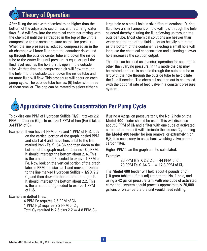## **Theory of Operation**

After filling the unit with chemical to no higher than the bottom of the adjustable cap or less and returning water flow, fluid will flow into the chemical container mixing with the chemical until the air trapped in the top of the unit is compressed to the same pressure as the line pressure. When the line pressure is reduced, compressed air in the air chamber will force fluid from the container down and up through the outside center tube and down the inside tube to the water line until pressure is equal or until the fluid level reaches the hole that is open in the outside tube. At that time the compressed air will flow through the hole into the outside tube, down the inside tube and no more fluid will flow. This procedure will occur on each pump cycle. The outside tube has six (6) holes with three of them smaller. The cap can be rotated to select either a

large hole or a small hole in six different locations. During fluid flow a small amount of fluid will flow through the hole selected thereby diluting the fluid flowing up through the outside tube. Most chemical solutions are heavier than water and the top of the fluid is not as heavily saturated as the bottom of the container. Selecting a small hole will increase the chemical concentration and selecting a lower hole increases the solution output.

The unit can be used as a venturi operation for operations other than varying pressure. In this mode the cap may be rotated so there is no hole through the outside tube or left with the hole through the outside tube to help dilute the fluid if needed. The chemical solution out is controlled with the optional rate of feed valve in a constant pressure system.

# **Approximate Chlorine Concentration Per Pump Cycle**

To oxidize one PPM of Hydrogen Sulfide  $(H_2S)$ , it takes 2.2 PPM of Chlorine  $(Cl_2)$ . To oxidize 1 PPM of Iron (Fe) it takes .64 PPM of  $Cl<sub>2</sub>$ 

Example: If you have 4 PPM of Fe and 1 PPM of  $H_2S$ , look on the vertical portion of the graph labeled PPM and start at 4 and move horizontal to the line marked Iron - Fe X  $.64$  Cl<sub>2</sub> and then down to the bottom of the graph marked Chlorine -  $Cl<sub>2</sub>$  PPM. It should intercept the bottom about 2. 6. This is the amount of Cl2 needed to oxidize 4 PPM of Fe. Now look on the vertical portion of the graph labeled PPM and start at 1 and move horizontal to the line marked Hydrogen Sulfide -  $H_2S$  X 2.2  $Cl<sub>2</sub>$  and then down to the bottom of the graph. It should intercept the bottom about 2.2. This is the amount of CI<sub>2</sub> needed to oxidize 1 PPM of  $H_2S$ .

Example in dotted lines:

4 PPM Fe requires 2.6 PPM of Cl<sub>2</sub> 1 PPM H<sub>2</sub>S requires 2.2 PPM of  $Cl<sub>2</sub>$ Total Cl<sub>2</sub> required is 2.6 plus  $2.2 = 4.8$  PPM Cl<sub>2</sub> If using a 42 gallon pressure tank, the No. 2 hole on the **Model 400** feeder should be used. This will dispense about 8 PPM of CI<sub>2</sub> and a filter with one cube of activated carbon after the unit will eliminate the excess  $Cl<sub>2</sub>$ . If using the **Model 400** feeder for iron removal or extremely high  $H<sub>2</sub>S$ , it is necessary to use a back washing valve on the carbon filter.

Higher PPM than the graph can be calculated.

Example:

20 PPM  $H_2S$  X 2.2 Cl<sub>2</sub> = 44 PPM of Cl<sub>2</sub> 20 PPM Fe X .64 C $\sim$  = 12.8 PPM of Cl<sub>2</sub>

The **Model 400** feeder will hold about 4 pounds of  $Cl<sub>2</sub>$ (10 gram tablets). If it is adjusted to the No. 1 hole, and using a 42 gallon pressure tank with one cube of activated carbon the system should process approximately 20,000 gallons of water before the unit would need refilling.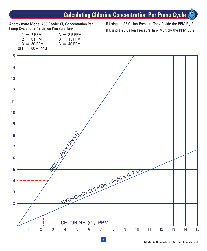## **Calculating Chlorine Concentration Per Pump Cycle**

Approximate **Model 400** Feeder Cl<sub>2</sub> Concentration Per Pump Cycle for a 42 Gallon Pressure Tank.

If Using an 82 Gallon Pressure Tank Divide the PPM By 2 If Using a 20 Gallon Pressure Tank Multiply the PPM By 2

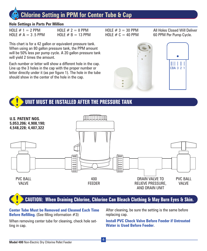## **Chlorine Setting in PPM for Center Tube & Cap**

### **Hole Settings in Parts Per Million**

| HOLE $# 1 = 2$ PPM   | HOLE $# 2 = 8$ PPM  |
|----------------------|---------------------|
| HOLE $# A = 3.5$ PPM | HOLE $# B = 13$ PPM |

This chart is for a 42 gallon or equivalent pressure tank. When using an 80 gallon pressure tank, the PPM amount will be 50% less per pump cycle. A 20 gallon pressure tank will yield 2 times the amount.

Each number or letter will show a different hole in the cap. Line up the 3 holes in the cap with the proper number or letter directly under it (as per figure 1). The hole in the tube should show in the center of the hole in the cap.



 $HOLE \# 3 = 30$  PPM



All Holes Closed Will Deliver

### **UNIT MUST BE INSTALLED AFTER THE PRESSURE TANK**



### **CAUTION: When Draining Chlorine, Chlorine Can Bleach Clothing & May Burn Eyes & Skin.**

**Center Tube Must be Removed and Cleaned Each Time Before Refilling.** (See filling information #3)

When removing center tube for cleaning, check hole setting in cap.

After cleaning, be sure the setting is the same before replacing cap.

**Install PVC Check Valve Before Feeder if Untreated Water is Used Before Feeder**.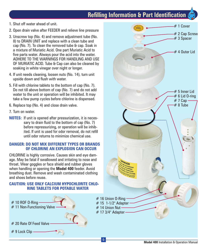### **Refilling Information & Part Identification**

- 1. Shut off water ahead of unit.
- 2. Open drain valve after FEEDER and relieve line pressure
- 3. Unscrew top (No. 4) and remove adjustment tube (No. 8) to DRAIN UNIT and replace with a clean tube and cap (No. 7). To clean the removed tube & cap. Soak in a mixture of Muriatic Acid. One part Muriatic Acid to five parts water. Always pour the acid into the water. ADHERE TO THE WARNINGS FOR HANDLING AND USE OF MURIATIC ACID. Tube & Cap can also be cleaned by soaking in white vinegar over night or longer.
- 4. If unit needs cleaning, loosen nuts (No. 14), turn unit upside down and flush with water.
- 5. Fill with chlorine tablets to the bottom of cap (No. 7). Do not till above bottom of cap (No. 7) and do not add water to the unit or operation will be inhibited. It may take a few pump cycles before chlorine is dispensed.
- 6. Replace top (No. 4) and close drain valve.
- 7. Tum on water.
- **NOTES:** If unit is opened after pressurization, it is necessary to drain fluid to the bottom of cap (No. 7) before repressurizing, or operation will be inhibited. If unit is used for odor removal, do not refill until odor returns to minimize chemical use.

### **DANGER: DO NOT MIX DIFFERENT TYPES OR BRANDS OF CHLORINE AN EXPLOSION CAN OCCUR**

CHLORINE is highly corrosive. Causes skin and eye damage. May be fatal if swallowed and irritating to nose and throat. Wear goggles or face shield and rubber gloves when handling or opening the **Model 400** feeder. Avoid breathing dust. Remove and wash contaminated clothing and shoes before reuse.

### **CAUTION: USE ONLY CALCIUM HYPOCHLORlTE CHLO-RINE TABLETS FOR POTABLE WATER**